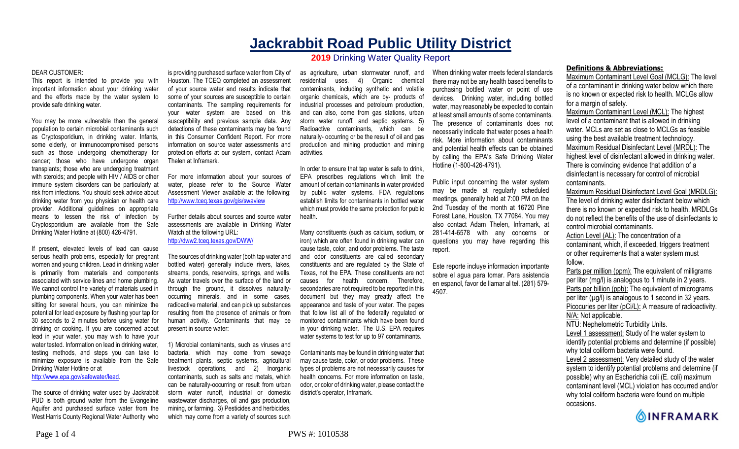# **Jackrabbit Road Public Utility District 2019** Drinking Water Quality Report

#### DEAR CUSTOMER:

This report is intended to provide you with important information about your drinking water and the efforts made by the water system to provide safe drinking water.

You may be more vulnerable than the general population to certain microbial contaminants such as Cryptosporidium, in drinking water. Infants, some elderly, or immunocompromised persons such as those undergoing chemotherapy for cancer; those who have undergone organ transplants; those who are undergoing treatment with steroids; and people with HIV / AIDS or other immune system disorders can be particularly at risk from infections. You should seek advice about drinking water from you physician or health care provider. Additional guidelines on appropriate means to lessen the risk of infection by Cryptosporidium are available from the Safe Drinking Water Hotline at (800) 426-4791.

If present, elevated levels of lead can cause serious health problems, especially for pregnant women and young children. Lead in drinking water is primarily from materials and components associated with service lines and home plumbing. We cannot control the variety of materials used in plumbing components. When your water has been sitting for several hours, you can minimize the potential for lead exposure by flushing your tap for 30 seconds to 2 minutes before using water for drinking or cooking. If you are concerned about lead in your water, you may wish to have your water tested. Information on lead in drinking water, testing methods, and steps you can take to minimize exposure is available from the Safe Drinking Water Hotline or at

http://www.epa.gov/safewater/lead.

The source of drinking water used by Jackrabbit PUD is both ground water from the Evangeline Aquifer and purchased surface water from the West Harris County Regional Water Authority who

is providing purchased surface water from City of Houston. The TCEQ completed an assessment of your source water and results indicate that some of your sources are susceptible to certain contaminants. The sampling requirements for your water system are based on this susceptibility and previous sample data. Any detections of these contaminants may be found in this Consumer Confident Report. For more information on source water assessments and protection efforts at our system, contact Adam Thelen at Inframark.

For more information about your sources of water, please refer to the Source Water Assessment Viewer available at the following: http://www.tceq.texas.gov/gis/swaview

Further details about sources and source water assessments are available in Drinking Water Watch at the following URL: http://dww2.tceq.texas.gov/DWW/

The sources of drinking water (both tap water and bottled water) generally include rivers, lakes, streams, ponds, reservoirs, springs, and wells. As water travels over the surface of the land or through the ground, it dissolves naturallyoccurring minerals, and in some cases, radioactive material, and can pick up substances resulting from the presence of animals or from human activity. Contaminants that may be present in source water:

1) Microbial contaminants, such as viruses and bacteria, which may come from sewage treatment plants, septic systems, agricultural livestock operations, and 2) Inorganic contaminants, such as salts and metals, which can be naturally-occurring or result from urban storm water runoff, industrial or domestic wastewater discharges, oil and gas production, mining, or farming. 3) Pesticides and herbicides, which may come from a variety of sources such

as agriculture, urban stormwater runoff, and residential uses. 4) Organic chemical contaminants, including synthetic and volatile organic chemicals, which are by- products of industrial processes and petroleum production, and can also, come from gas stations, urban storm water runoff, and septic systems. 5) Radioactive contaminants, which can be naturally- occurring or be the result of oil and gas production and mining production and mining activities.

In order to ensure that tap water is safe to drink, EPA prescribes regulations which limit the amount of certain contaminants in water provided by public water systems. FDA regulations establish limits for contaminants in bottled water which must provide the same protection for public health.

Many constituents (such as calcium, sodium, or iron) which are often found in drinking water can cause taste, color, and odor problems. The taste and odor constituents are called secondary constituents and are regulated by the State of Texas, not the EPA. These constituents are not causes for health concern. Therefore, secondaries are not required to be reported in this document but they may greatly affect the appearance and taste of your water. The pages that follow list all of the federally regulated or monitored contaminants which have been found in your drinking water. The U.S. EPA requires water systems to test for up to 97 contaminants.

Contaminants may be found in drinking water that may cause taste, color, or odor problems. These types of problems are not necessarily causes for health concerns. For more information on taste, odor, or color of drinking water, please contact the district's operator, Inframark.

When drinking water meets federal standards there may not be any health based benefits to purchasing bottled water or point of use devices. Drinking water, including bottled water, may reasonably be expected to contain at least small amounts of some contaminants. The presence of contaminants does not necessarily indicate that water poses a health risk. More information about contaminants and potential health effects can be obtained by calling the EPA's Safe Drinking Water Hotline (1-800-426-4791).

Public input concerning the water system may be made at regularly scheduled meetings, generally held at 7:00 PM on the 2nd Tuesday of the month at 16720 Pine Forest Lane, Houston, TX 77084. You may also contact Adam Thelen, Inframark, at 281-414-6578 with any concerns or questions you may have regarding this report.

Este reporte incluye informacion importante sobre el agua para tomar. Para asistencia en espanol, favor de llamar al tel. (281) 579- 4507.

#### **Definitions & Abbreviations:**

Maximum Contaminant Level Goal (MCLG): The level of a contaminant in drinking water below which there is no known or expected risk to health. MCLGs allow for a margin of safety.

Maximum Contaminant Level (MCL): The highest level of a contaminant that is allowed in drinking water. MCLs are set as close to MCLGs as feasible using the best available treatment technology. Maximum Residual Disinfectant Level (MRDL): The highest level of disinfectant allowed in drinking water. There is convincing evidence that addition of a disinfectant is necessary for control of microbial contaminants.

Maximum Residual Disinfectant Level Goal (MRDLG): The level of drinking water disinfectant below which there is no known or expected risk to health. MRDLGs do not reflect the benefits of the use of disinfectants to control microbial contaminants.

Action Level (AL): The concentration of a contaminant, which, if exceeded, triggers treatment or other requirements that a water system must follow.

Parts per million (ppm): The equivalent of milligrams per liter (mg/l) is analogous to 1 minute in 2 years. Parts per billion (ppb): The equivalent of micrograms per liter  $(\mu g/l)$  is analogous to 1 second in 32 years. Picocuries per liter (pCi/L): A measure of radioactivity. N/A: Not applicable. NTU: Nephelometric Turbidity Units.

Level 1 assessment: Study of the water system to identify potential problems and determine (if possible) why total coliform bacteria were found.

Level 2 assessment: Very detailed study of the water system to identify potential problems and determine (if possible) why an Escherichia coli (E. coli) maximum contaminant level (MCL) violation has occurred and/or why total coliform bacteria were found on multiple occasions.

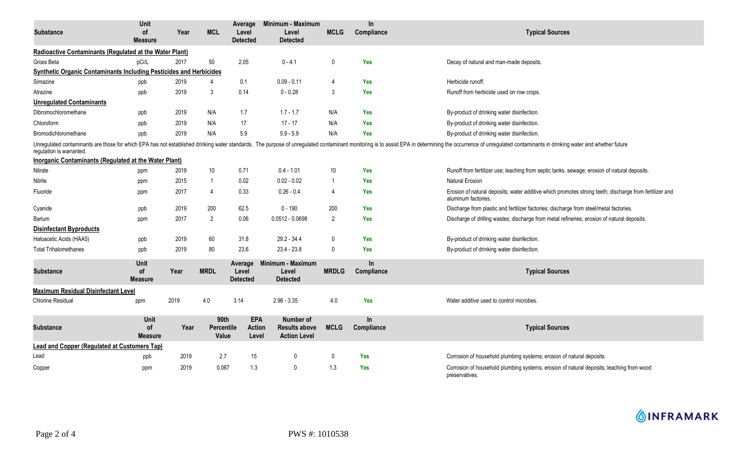| <b>Substance</b>                                                                                                                                                                                                                                           | Unit<br><b>of</b><br><b>Measure</b> | Year | <b>MCL</b>                  | Average<br>Level<br><b>Detected</b>  | Minimum - Maximum<br>Level<br><b>Detected</b>            | <b>MCLG</b>    | In.<br>Compliance       | <b>Typical Sources</b>                                                                                                        |  |  |
|------------------------------------------------------------------------------------------------------------------------------------------------------------------------------------------------------------------------------------------------------------|-------------------------------------|------|-----------------------------|--------------------------------------|----------------------------------------------------------|----------------|-------------------------|-------------------------------------------------------------------------------------------------------------------------------|--|--|
| Radioactive Contaminants (Regulated at the Water Plant)                                                                                                                                                                                                    |                                     |      |                             |                                      |                                                          |                |                         |                                                                                                                               |  |  |
| Gross Beta                                                                                                                                                                                                                                                 | pCi/L                               | 2017 | 50                          | 2.05                                 | $0 - 4.1$                                                | 0              | <b>Yes</b>              | Decay of natural and man-made deposits.                                                                                       |  |  |
| Synthetic Organic Contaminants Including Pesticides and Herbicides                                                                                                                                                                                         |                                     |      |                             |                                      |                                                          |                |                         |                                                                                                                               |  |  |
| Simazine                                                                                                                                                                                                                                                   | ppb                                 | 2019 | 4                           | 0.1                                  | $0.09 - 0.11$                                            | 4              | <b>Yes</b>              | Herbicide runoff.                                                                                                             |  |  |
| Atrazine                                                                                                                                                                                                                                                   | ppb                                 | 2019 | 3                           | 0.14                                 | $0 - 0.28$                                               | 3              | <b>Yes</b>              | Runoff from herbicide used on row crops.                                                                                      |  |  |
| <b>Unregulated Contaminants</b>                                                                                                                                                                                                                            |                                     |      |                             |                                      |                                                          |                |                         |                                                                                                                               |  |  |
| Dibromochloromethane                                                                                                                                                                                                                                       | ppb                                 | 2019 | N/A                         | 1.7                                  | $1.7 - 1.7$                                              | N/A            | <b>Yes</b>              | By-product of drinking water disinfection.                                                                                    |  |  |
| Chloroform                                                                                                                                                                                                                                                 | ppb                                 | 2019 | N/A                         | 17                                   | $17 - 17$                                                | N/A            | <b>Yes</b>              | By-product of drinking water disinfection.                                                                                    |  |  |
| Bromodichloromethane                                                                                                                                                                                                                                       | ppb                                 | 2019 | N/A                         | 5.9                                  | $5.9 - 5.9$                                              | N/A            | <b>Yes</b>              | By-product of drinking water disinfection.                                                                                    |  |  |
| Unregulated contaminants are those for which EPA has not established drinking water standards. The purpose of unregulated contaminant monitoring is to assist EPA in determining the occurrence of unregulated contaminants in<br>regulation is warranted. |                                     |      |                             |                                      |                                                          |                |                         |                                                                                                                               |  |  |
| Inorganic Contaminants (Regulated at the Water Plant)                                                                                                                                                                                                      |                                     |      |                             |                                      |                                                          |                |                         |                                                                                                                               |  |  |
| Nitrate                                                                                                                                                                                                                                                    | ppm                                 | 2019 | 10                          | 0.71                                 | $0.4 - 1.01$                                             | 10             | <b>Yes</b>              | Runoff from fertilizer use; leaching from septic tanks, sewage; erosion of natural deposits.                                  |  |  |
| Nitrite                                                                                                                                                                                                                                                    | ppm                                 | 2015 | -1                          | 0.02                                 | $0.02 - 0.02$                                            | -1             | <b>Yes</b>              | <b>Natural Erosion</b>                                                                                                        |  |  |
| Fluoride                                                                                                                                                                                                                                                   | ppm                                 | 2017 | 4                           | 0.33                                 | $0.26 - 0.4$                                             | 4              | <b>Yes</b>              | Erosion of natural deposits; water additive which promotes strong teeth; discharge from fertilizer and<br>aluminum factories. |  |  |
| Cyanide                                                                                                                                                                                                                                                    | ppb                                 | 2019 | 200                         | 62.5                                 | $0 - 190$                                                | 200            | <b>Yes</b>              | Discharge from plastic and fertilizer factories; discharge from steel/metal factories.                                        |  |  |
| Barium                                                                                                                                                                                                                                                     | ppm                                 | 2017 | 2                           | 0.06                                 | $0.0512 - 0.0698$                                        | $\overline{2}$ | <b>Yes</b>              | Discharge of drilling wastes; discharge from metal refineries; erosion of natural deposits.                                   |  |  |
| <b>Disinfectant Byproducts</b>                                                                                                                                                                                                                             |                                     |      |                             |                                      |                                                          |                |                         |                                                                                                                               |  |  |
| Haloacetic Acids (HAA5)                                                                                                                                                                                                                                    | ppb                                 | 2019 | 60                          | 31.8                                 | 29.2 - 34.4                                              | $\mathbf 0$    | <b>Yes</b>              | By-product of drinking water disinfection.                                                                                    |  |  |
| <b>Total Trihalomethanes</b>                                                                                                                                                                                                                               | ppb                                 | 2019 | 80                          | 23.6                                 | $23.4 - 23.8$                                            | $\mathbf 0$    | <b>Yes</b>              | By-product of drinking water disinfection.                                                                                    |  |  |
| <b>Substance</b>                                                                                                                                                                                                                                           | Unit<br><b>of</b><br><b>Measure</b> | Year | <b>MRDL</b>                 | Average<br>Level<br><b>Detected</b>  | Minimum - Maximum<br>Level<br><b>Detected</b>            | <b>MRDLG</b>   | <b>In</b><br>Compliance | <b>Typical Sources</b>                                                                                                        |  |  |
| <b>Maximum Residual Disinfectant Level</b>                                                                                                                                                                                                                 |                                     |      |                             |                                      |                                                          |                |                         |                                                                                                                               |  |  |
| Chlorine Residual                                                                                                                                                                                                                                          | ppm                                 | 2019 | 4.0                         | 3.14                                 | $2.96 - 3.35$                                            | 4.0            | Yes                     | Water additive used to control microbes.                                                                                      |  |  |
| <b>Substance</b>                                                                                                                                                                                                                                           | Unit<br><b>of</b><br><b>Measure</b> | Year | 90th<br>Percentile<br>Value | <b>EPA</b><br><b>Action</b><br>Level | Number of<br><b>Results above</b><br><b>Action Level</b> | <b>MCLG</b>    | <b>In</b><br>Compliance | <b>Typical Sources</b>                                                                                                        |  |  |
| <b>Lead and Copper (Regulated at Customers Tap)</b>                                                                                                                                                                                                        |                                     |      |                             |                                      |                                                          |                |                         |                                                                                                                               |  |  |
| Lead                                                                                                                                                                                                                                                       | ppb                                 | 2019 | 2.7                         | 15                                   | 0                                                        | 0              | Yes                     | Corrosion of household plumbing systems; erosion of natural deposits.                                                         |  |  |
| Copper                                                                                                                                                                                                                                                     | ppm                                 | 2019 | 0.067                       | 1.3                                  | 0                                                        | 1.3            | <b>Yes</b>              | Corrosion of household plumbing systems, erosion of natural deposits; leaching from wood<br>preservatives.                    |  |  |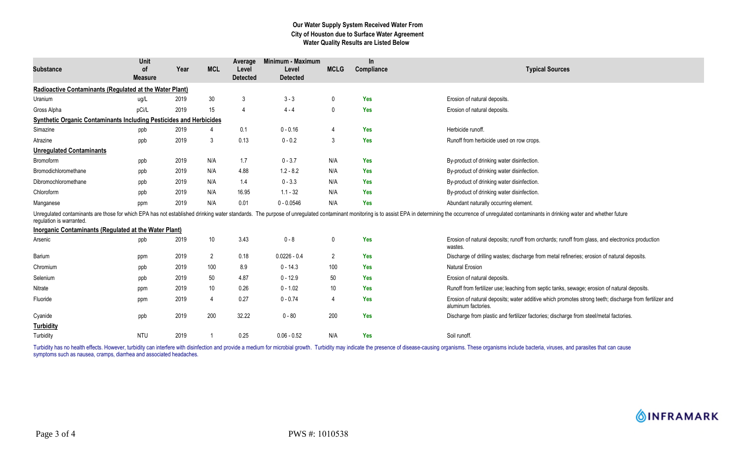## **Our Water Supply System Received Water From City of Houston due to Surface Water Agreement Water Quality Results are Listed Below**

| <b>Substance</b>                                                          | Unit<br>0f<br><b>Measure</b> | Year | <b>MCL</b>      | Average<br>Level<br><b>Detected</b> | Minimum - Maximum<br>Level<br><b>Detected</b> | <b>MCLG</b>    | In.<br>Compliance | <b>Typical Sources</b>                                                                                                                                                                                                         |
|---------------------------------------------------------------------------|------------------------------|------|-----------------|-------------------------------------|-----------------------------------------------|----------------|-------------------|--------------------------------------------------------------------------------------------------------------------------------------------------------------------------------------------------------------------------------|
| <b>Radioactive Contaminants (Regulated at the Water Plant)</b>            |                              |      |                 |                                     |                                               |                |                   |                                                                                                                                                                                                                                |
| Uranium                                                                   | ug/L                         | 2019 | $30\,$          | 3                                   | $3 - 3$                                       | $\mathbf 0$    | <b>Yes</b>        | Erosion of natural deposits.                                                                                                                                                                                                   |
| Gross Alpha                                                               | pCi/L                        | 2019 | 15              | $\overline{4}$                      | $4 - 4$                                       | 0              | <b>Yes</b>        | Erosion of natural deposits.                                                                                                                                                                                                   |
| <b>Synthetic Organic Contaminants Including Pesticides and Herbicides</b> |                              |      |                 |                                     |                                               |                |                   |                                                                                                                                                                                                                                |
| Simazine                                                                  | ppb                          | 2019 |                 | 0.1                                 | $0 - 0.16$                                    | $\overline{4}$ | Yes               | Herbicide runoff.                                                                                                                                                                                                              |
| Atrazine                                                                  | ppb                          | 2019 | 3               | 0.13                                | $0 - 0.2$                                     | 3              | <b>Yes</b>        | Runoff from herbicide used on row crops.                                                                                                                                                                                       |
| <b>Unregulated Contaminants</b>                                           |                              |      |                 |                                     |                                               |                |                   |                                                                                                                                                                                                                                |
| Bromoform                                                                 | ppb                          | 2019 | N/A             | 1.7                                 | $0 - 3.7$                                     | N/A            | Yes               | By-product of drinking water disinfection.                                                                                                                                                                                     |
| Bromodichloromethane                                                      | ppb                          | 2019 | N/A             | 4.88                                | $1.2 - 8.2$                                   | N/A            | Yes               | By-product of drinking water disinfection.                                                                                                                                                                                     |
| Dibromochloromethane                                                      | ppb                          | 2019 | N/A             | 1.4                                 | $0 - 3.3$                                     | N/A            | <b>Yes</b>        | By-product of drinking water disinfection.                                                                                                                                                                                     |
| Chloroform                                                                | ppb                          | 2019 | N/A             | 16.95                               | $1.1 - 32$                                    | N/A            | <b>Yes</b>        | By-product of drinking water disinfection.                                                                                                                                                                                     |
| Manganese                                                                 | ppm                          | 2019 | N/A             | 0.01                                | $0 - 0.0546$                                  | N/A            | <b>Yes</b>        | Abundant naturally occurring element.                                                                                                                                                                                          |
| regulation is warranted.                                                  |                              |      |                 |                                     |                                               |                |                   | Unregulated contaminants are those for which EPA has not established drinking water standards. The purpose of unregulated contaminant monitoring is to assist EPA in determining the occurrence of unregulated contaminants in |
| Inorganic Contaminants (Regulated at the Water Plant)                     |                              |      |                 |                                     |                                               |                |                   |                                                                                                                                                                                                                                |
| Arsenic                                                                   | ppb                          | 2019 | 10              | 3.43                                | $0 - 8$                                       | 0              | Yes               | Erosion of natural deposits; runoff from orchards; runoff from glass, and electronics production<br>wastes.                                                                                                                    |
| Barium                                                                    | ppm                          | 2019 | $\overline{2}$  | 0.18                                | $0.0226 - 0.4$                                | 2              | Yes               | Discharge of drilling wastes; discharge from metal refineries; erosion of natural deposits.                                                                                                                                    |
| Chromium                                                                  | ppb                          | 2019 | 100             | 8.9                                 | $0 - 14.3$                                    | 100            | <b>Yes</b>        | <b>Natural Erosion</b>                                                                                                                                                                                                         |
| Selenium                                                                  | ppb                          | 2019 | 50              | 4.87                                | $0 - 12.9$                                    | 50             | <b>Yes</b>        | Erosion of natural deposits.                                                                                                                                                                                                   |
| Nitrate                                                                   | ppm                          | 2019 | 10 <sup>°</sup> | 0.26                                | $0 - 1.02$                                    | 10             | <b>Yes</b>        | Runoff from fertilizer use; leaching from septic tanks, sewage; erosion of natural deposits.                                                                                                                                   |
| Fluoride                                                                  | ppm                          | 2019 | $\overline{4}$  | 0.27                                | $0 - 0.74$                                    | $\overline{4}$ | <b>Yes</b>        | Erosion of natural deposits; water additive which promotes strong teeth; discharge from fertilizer and<br>aluminum factories.                                                                                                  |
| Cyanide                                                                   | ppb                          | 2019 | 200             | 32.22                               | $0 - 80$                                      | 200            | <b>Yes</b>        | Discharge from plastic and fertilizer factories; discharge from steel/metal factories.                                                                                                                                         |
| <b>Turbidity</b>                                                          |                              |      |                 |                                     |                                               |                |                   |                                                                                                                                                                                                                                |
| Turbidity                                                                 | <b>NTU</b>                   | 2019 |                 | 0.25                                | $0.06 - 0.52$                                 | N/A            | <b>Yes</b>        | Soil runoff.                                                                                                                                                                                                                   |

Turbidity has no health effects. However, turbidity can interfere with disinfection and provide a medium for microbial growth. Turbidity may indicate the presence of disease-causing organisms. These organisms include bacte symptoms such as nausea, cramps, diarrhea and associated headaches.